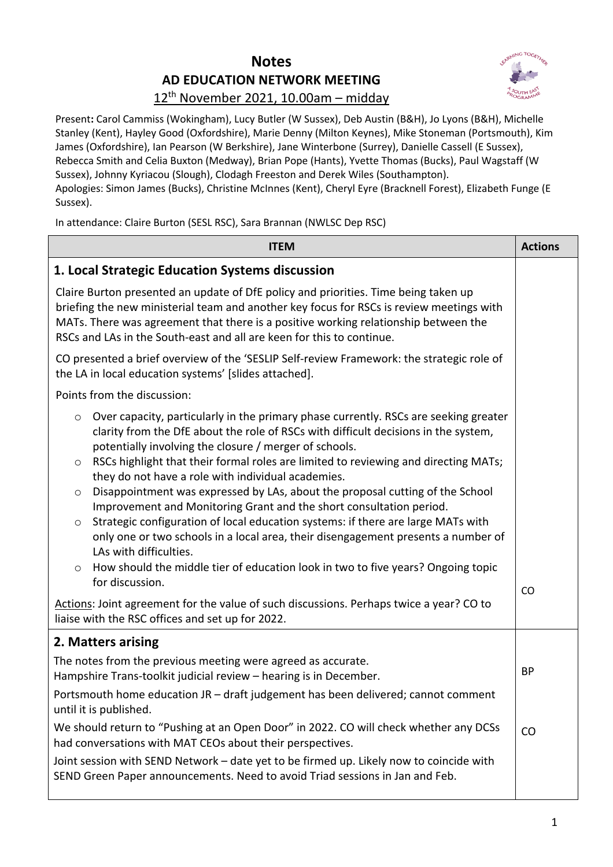## **Notes AD EDUCATION NETWORK MEETING**



## 12th November 2021, 10.00am – midday

Present**:** Carol Cammiss (Wokingham), Lucy Butler (W Sussex), Deb Austin (B&H), Jo Lyons (B&H), Michelle Stanley (Kent), Hayley Good (Oxfordshire), Marie Denny (Milton Keynes), Mike Stoneman (Portsmouth), Kim James (Oxfordshire), Ian Pearson (W Berkshire), Jane Winterbone (Surrey), Danielle Cassell (E Sussex), Rebecca Smith and Celia Buxton (Medway), Brian Pope (Hants), Yvette Thomas (Bucks), Paul Wagstaff (W Sussex), Johnny Kyriacou (Slough), Clodagh Freeston and Derek Wiles (Southampton). Apologies: Simon James (Bucks), Christine McInnes (Kent), Cheryl Eyre (Bracknell Forest), Elizabeth Funge (E Sussex).

In attendance: Claire Burton (SESL RSC), Sara Brannan (NWLSC Dep RSC)

| <b>ITEM</b>                                                                                                                                                                                                                                                                                                                                                                                                                                                                                                                                                                                                                                                                                                                                                                                                                                                                                                                                                                                                                                                | <b>Actions</b> |
|------------------------------------------------------------------------------------------------------------------------------------------------------------------------------------------------------------------------------------------------------------------------------------------------------------------------------------------------------------------------------------------------------------------------------------------------------------------------------------------------------------------------------------------------------------------------------------------------------------------------------------------------------------------------------------------------------------------------------------------------------------------------------------------------------------------------------------------------------------------------------------------------------------------------------------------------------------------------------------------------------------------------------------------------------------|----------------|
| 1. Local Strategic Education Systems discussion                                                                                                                                                                                                                                                                                                                                                                                                                                                                                                                                                                                                                                                                                                                                                                                                                                                                                                                                                                                                            |                |
| Claire Burton presented an update of DfE policy and priorities. Time being taken up<br>briefing the new ministerial team and another key focus for RSCs is review meetings with<br>MATs. There was agreement that there is a positive working relationship between the<br>RSCs and LAs in the South-east and all are keen for this to continue.                                                                                                                                                                                                                                                                                                                                                                                                                                                                                                                                                                                                                                                                                                            |                |
| CO presented a brief overview of the 'SESLIP Self-review Framework: the strategic role of<br>the LA in local education systems' [slides attached].                                                                                                                                                                                                                                                                                                                                                                                                                                                                                                                                                                                                                                                                                                                                                                                                                                                                                                         |                |
| Points from the discussion:                                                                                                                                                                                                                                                                                                                                                                                                                                                                                                                                                                                                                                                                                                                                                                                                                                                                                                                                                                                                                                |                |
| Over capacity, particularly in the primary phase currently. RSCs are seeking greater<br>$\circ$<br>clarity from the DfE about the role of RSCs with difficult decisions in the system,<br>potentially involving the closure / merger of schools.<br>RSCs highlight that their formal roles are limited to reviewing and directing MATs;<br>$\circ$<br>they do not have a role with individual academies.<br>Disappointment was expressed by LAs, about the proposal cutting of the School<br>$\circ$<br>Improvement and Monitoring Grant and the short consultation period.<br>Strategic configuration of local education systems: if there are large MATs with<br>$\circ$<br>only one or two schools in a local area, their disengagement presents a number of<br>LAs with difficulties.<br>How should the middle tier of education look in two to five years? Ongoing topic<br>$\circ$<br>for discussion.<br>Actions: Joint agreement for the value of such discussions. Perhaps twice a year? CO to<br>liaise with the RSC offices and set up for 2022. | CO             |
| 2. Matters arising                                                                                                                                                                                                                                                                                                                                                                                                                                                                                                                                                                                                                                                                                                                                                                                                                                                                                                                                                                                                                                         |                |
| The notes from the previous meeting were agreed as accurate.<br>Hampshire Trans-toolkit judicial review - hearing is in December.<br>Portsmouth home education JR - draft judgement has been delivered; cannot comment                                                                                                                                                                                                                                                                                                                                                                                                                                                                                                                                                                                                                                                                                                                                                                                                                                     | <b>BP</b>      |
| until it is published.                                                                                                                                                                                                                                                                                                                                                                                                                                                                                                                                                                                                                                                                                                                                                                                                                                                                                                                                                                                                                                     |                |
| We should return to "Pushing at an Open Door" in 2022. CO will check whether any DCSs<br>had conversations with MAT CEOs about their perspectives.                                                                                                                                                                                                                                                                                                                                                                                                                                                                                                                                                                                                                                                                                                                                                                                                                                                                                                         | CO             |
| Joint session with SEND Network - date yet to be firmed up. Likely now to coincide with<br>SEND Green Paper announcements. Need to avoid Triad sessions in Jan and Feb.                                                                                                                                                                                                                                                                                                                                                                                                                                                                                                                                                                                                                                                                                                                                                                                                                                                                                    |                |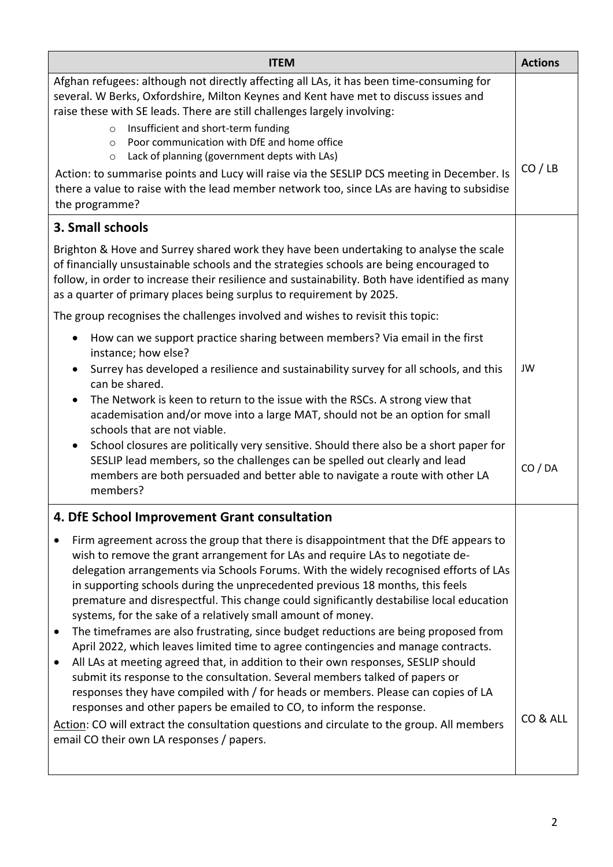| <b>ITEM</b>                                                                                                                                                                                                                                                                                                                                                                                                                                                                                                                                                                                                                                                                                                                                                                                                                                                                                                                                                                                                                                                                                                                                                                              | <b>Actions</b> |
|------------------------------------------------------------------------------------------------------------------------------------------------------------------------------------------------------------------------------------------------------------------------------------------------------------------------------------------------------------------------------------------------------------------------------------------------------------------------------------------------------------------------------------------------------------------------------------------------------------------------------------------------------------------------------------------------------------------------------------------------------------------------------------------------------------------------------------------------------------------------------------------------------------------------------------------------------------------------------------------------------------------------------------------------------------------------------------------------------------------------------------------------------------------------------------------|----------------|
| Afghan refugees: although not directly affecting all LAs, it has been time-consuming for<br>several. W Berks, Oxfordshire, Milton Keynes and Kent have met to discuss issues and<br>raise these with SE leads. There are still challenges largely involving:<br>Insufficient and short-term funding<br>$\circ$<br>Poor communication with DfE and home office<br>$\circ$<br>Lack of planning (government depts with LAs)<br>$\circ$<br>Action: to summarise points and Lucy will raise via the SESLIP DCS meeting in December. Is<br>there a value to raise with the lead member network too, since LAs are having to subsidise<br>the programme?                                                                                                                                                                                                                                                                                                                                                                                                                                                                                                                                        | CO / LB        |
| 3. Small schools                                                                                                                                                                                                                                                                                                                                                                                                                                                                                                                                                                                                                                                                                                                                                                                                                                                                                                                                                                                                                                                                                                                                                                         |                |
| Brighton & Hove and Surrey shared work they have been undertaking to analyse the scale<br>of financially unsustainable schools and the strategies schools are being encouraged to<br>follow, in order to increase their resilience and sustainability. Both have identified as many<br>as a quarter of primary places being surplus to requirement by 2025.                                                                                                                                                                                                                                                                                                                                                                                                                                                                                                                                                                                                                                                                                                                                                                                                                              |                |
| The group recognises the challenges involved and wishes to revisit this topic:                                                                                                                                                                                                                                                                                                                                                                                                                                                                                                                                                                                                                                                                                                                                                                                                                                                                                                                                                                                                                                                                                                           |                |
| How can we support practice sharing between members? Via email in the first<br>instance; how else?<br>Surrey has developed a resilience and sustainability survey for all schools, and this<br>can be shared.<br>The Network is keen to return to the issue with the RSCs. A strong view that<br>academisation and/or move into a large MAT, should not be an option for small<br>schools that are not viable.<br>School closures are politically very sensitive. Should there also be a short paper for<br>SESLIP lead members, so the challenges can be spelled out clearly and lead<br>members are both persuaded and better able to navigate a route with other LA<br>members?                                                                                                                                                                                                                                                                                                                                                                                                                                                                                                       | JW<br>CO / DA  |
| 4. DfE School Improvement Grant consultation                                                                                                                                                                                                                                                                                                                                                                                                                                                                                                                                                                                                                                                                                                                                                                                                                                                                                                                                                                                                                                                                                                                                             |                |
| Firm agreement across the group that there is disappointment that the DfE appears to<br>wish to remove the grant arrangement for LAs and require LAs to negotiate de-<br>delegation arrangements via Schools Forums. With the widely recognised efforts of LAs<br>in supporting schools during the unprecedented previous 18 months, this feels<br>premature and disrespectful. This change could significantly destabilise local education<br>systems, for the sake of a relatively small amount of money.<br>The timeframes are also frustrating, since budget reductions are being proposed from<br>$\bullet$<br>April 2022, which leaves limited time to agree contingencies and manage contracts.<br>All LAs at meeting agreed that, in addition to their own responses, SESLIP should<br>٠<br>submit its response to the consultation. Several members talked of papers or<br>responses they have compiled with / for heads or members. Please can copies of LA<br>responses and other papers be emailed to CO, to inform the response.<br>Action: CO will extract the consultation questions and circulate to the group. All members<br>email CO their own LA responses / papers. | CO & ALL       |